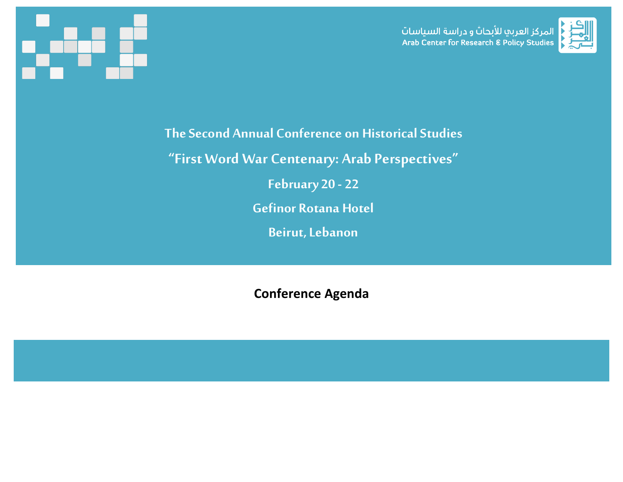





**The Second Annual Conference on Historical Studies**

**"First Word War Centenary: Arab Perspectives"**

**February 20 - 22**

**Gefinor Rotana Hotel**

**Beirut, Lebanon**

**Conference Agenda**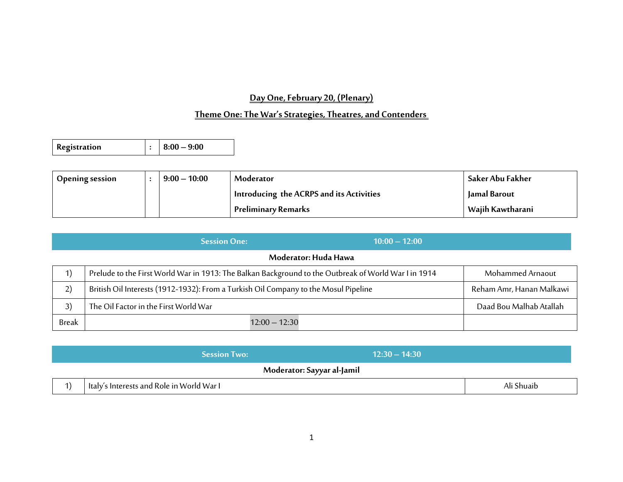# **Day One, February 20, (Plenary)**

# **Theme One: The War's Strategies, Theatres, and Contenders**

| <b>Registration</b> |  | $\vert : \vert 8:00 - 9:00 \vert$ |
|---------------------|--|-----------------------------------|
|---------------------|--|-----------------------------------|

| <b>Opening session</b> | $9:00 - 10:00$ | Moderator                                | Saker Abu Fakher |
|------------------------|----------------|------------------------------------------|------------------|
|                        |                | Introducing the ACRPS and its Activities | Jamal Barout     |
|                        |                | Preliminary Remarks                      | Wajih Kawtharani |

|              | $10:00 - 12:00$<br><b>Session One:</b>                                                               |                          |
|--------------|------------------------------------------------------------------------------------------------------|--------------------------|
|              | Moderator: Huda Hawa                                                                                 |                          |
|              | Prelude to the First World War in 1913: The Balkan Background to the Outbreak of World War I in 1914 | Mohammed Arnaout         |
| 2)           | British Oil Interests (1912-1932): From a Turkish Oil Company to the Mosul Pipeline                  | Reham Amr, Hanan Malkawi |
| 3)           | The Oil Factor in the First World War                                                                | Daad Bou Malhab Atallah  |
| <b>Break</b> | $12:00 - 12:30$                                                                                      |                          |

| $12:30 - 14:30$<br><b>Session Two:</b>    |            |
|-------------------------------------------|------------|
| Moderator: Sayyar al-Jamil                |            |
| Italy's Interests and Role in World War I | Ali Shuaib |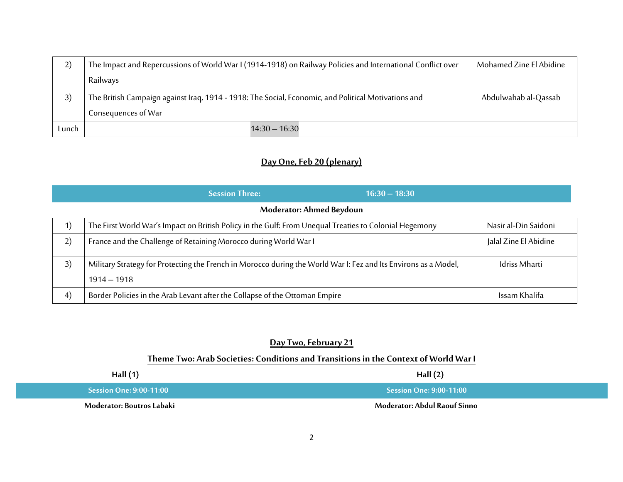| 2)    | The Impact and Repercussions of World War I (1914-1918) on Railway Policies and International Conflict over | Mohamed Zine El Abidine |
|-------|-------------------------------------------------------------------------------------------------------------|-------------------------|
|       | Railways                                                                                                    |                         |
| 3)    | The British Campaign against Iraq, 1914 - 1918: The Social, Economic, and Political Motivations and         | Abdulwahab al-Qassab    |
|       | Consequences of War                                                                                         |                         |
| Lunch | $14:30 - 16:30$                                                                                             |                         |

# **Day One, Feb 20 (plenary)**

|                   | <b>Session Three:</b><br>$16:30 - 18:30$                                                                                         |                       |
|-------------------|----------------------------------------------------------------------------------------------------------------------------------|-----------------------|
|                   | Moderator: Ahmed Beydoun                                                                                                         |                       |
| 1)                | The First World War's Impact on British Policy in the Gulf: From Unequal Treaties to Colonial Hegemony                           | Nasir al-Din Saidoni  |
| 2)                | France and the Challenge of Retaining Morocco during World War I                                                                 | Jalal Zine El Abidine |
| 3)                | Military Strategy for Protecting the French in Morocco during the World War I: Fez and Its Environs as a Model,<br>$1914 - 1918$ | <b>Idriss Mharti</b>  |
| $\left( 4\right)$ | Border Policies in the Arab Levant after the Collapse of the Ottoman Empire                                                      | Issam Khalifa         |

## **Day Two, February 21**

## **Theme Two: Arab Societies: Conditions and Transitions in the Context of World War I**

| Hall $(1)$                     | Hall $(2)$                                            |
|--------------------------------|-------------------------------------------------------|
| <b>Session One: 9:00-11:00</b> | $\blacksquare$ Session One: 9:00-11:00 $\blacksquare$ |
| Moderator: Boutros Labaki      | Moderator: Abdul Raouf Sinno                          |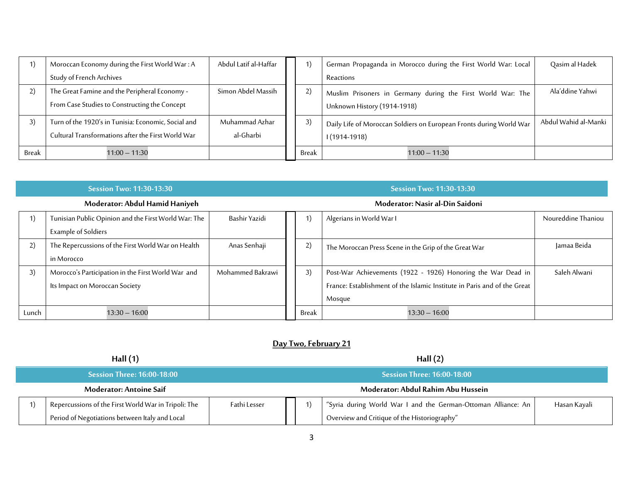|       | Moroccan Economy during the First World War: A                                                            | Abdul Latif al-Haffar       | 1)    | German Propaganda in Morocco during the First World War: Local                             | Qasim al Hadek       |
|-------|-----------------------------------------------------------------------------------------------------------|-----------------------------|-------|--------------------------------------------------------------------------------------------|----------------------|
|       | Study of French Archives                                                                                  |                             |       | Reactions                                                                                  |                      |
|       | The Great Famine and the Peripheral Economy -<br>From Case Studies to Constructing the Concept            | Simon Abdel Massih          | 2)    | Muslim Prisoners in Germany during the First World War: The<br>Unknown History (1914-1918) | Ala'ddine Yahwi      |
| 3)    | Turn of the 1920's in Tunisia: Economic, Social and<br>Cultural Transformations after the First World War | Muhammad Azhar<br>al-Gharbi | 3)    | Daily Life of Moroccan Soldiers on European Fronts during World War<br>$1(1914-1918)$      | Abdul Wahid al-Manki |
| Break | $11:00 - 11:30$                                                                                           |                             | Break | $11:00 - 11:30$                                                                            |                      |

| <b>Session Two: 11:30-13:30</b> |                                                                                      |                  |  | <b>Session Two: 11:30-13:30</b> |                                                                                                                                                    |                    |  |  |  |
|---------------------------------|--------------------------------------------------------------------------------------|------------------|--|---------------------------------|----------------------------------------------------------------------------------------------------------------------------------------------------|--------------------|--|--|--|
| Moderator: Abdul Hamid Haniyeh  |                                                                                      |                  |  | Moderator: Nasir al-Din Saidoni |                                                                                                                                                    |                    |  |  |  |
| 1)                              | Tunisian Public Opinion and the First World War: The<br><b>Example of Soldiers</b>   | Bashir Yazidi    |  |                                 | Algerians in World War I                                                                                                                           | Noureddine Thaniou |  |  |  |
| 2)                              | The Repercussions of the First World War on Health<br>in Morocco                     | Anas Senhaji     |  | 2)                              | The Moroccan Press Scene in the Grip of the Great War                                                                                              | Jamaa Beida        |  |  |  |
| 3)                              | Morocco's Participation in the First World War and<br>Its Impact on Moroccan Society | Mohammed Bakrawi |  | 3)                              | Post-War Achievements (1922 - 1926) Honoring the War Dead in<br>France: Establishment of the Islamic Institute in Paris and of the Great<br>Mosque | Saleh Alwani       |  |  |  |
| Lunch                           | $13:30 - 16:00$                                                                      |                  |  | Break                           | $13:30 - 16:00$                                                                                                                                    |                    |  |  |  |

#### **Day Two, February 21**

| Hall $(1)$                        |                                                      |              | Hall $(2)$                         |  |                                                               |              |  |  |
|-----------------------------------|------------------------------------------------------|--------------|------------------------------------|--|---------------------------------------------------------------|--------------|--|--|
| <b>Session Three: 16:00-18:00</b> |                                                      |              |                                    |  | <b>Session Three: 16:00-18:00</b>                             |              |  |  |
| Moderator: Antoine Saif           |                                                      |              | Moderator: Abdul Rahim Abu Hussein |  |                                                               |              |  |  |
|                                   | Repercussions of the First World War in Tripoli: The | Fathi Lesser |                                    |  | "Syria during World War I and the German-Ottoman Alliance: An | Hasan Kayali |  |  |
|                                   | Period of Negotiations between Italy and Local       |              |                                    |  | Overview and Critique of the Historiography"                  |              |  |  |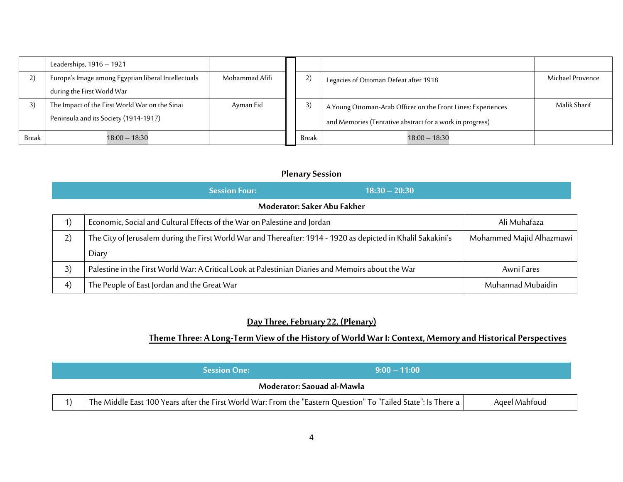|       | Leaderships, 1916 - 1921                            |                |       |                                                              |                  |
|-------|-----------------------------------------------------|----------------|-------|--------------------------------------------------------------|------------------|
|       | Europe's Image among Egyptian liberal Intellectuals | Mohammad Afifi | 2)    | Legacies of Ottoman Defeat after 1918                        | Michael Provence |
|       | during the First World War                          |                |       |                                                              |                  |
|       | The Impact of the First World War on the Sinai      | Ayman Eid      | 3)    | A Young Ottoman-Arab Officer on the Front Lines: Experiences | Malik Sharif     |
|       | Peninsula and its Society (1914-1917)               |                |       | and Memories (Tentative abstract for a work in progress)     |                  |
| Break | $18:00 - 18:30$                                     |                | Break | $18:00 - 18:30$                                              |                  |

## **PlenarySession**

|                                                | <b>Session Four:</b><br>$18:30 - 20:30$                                                                       |                          |
|------------------------------------------------|---------------------------------------------------------------------------------------------------------------|--------------------------|
|                                                | Moderator: Saker Abu Fakher                                                                                   |                          |
| $\left( \begin{matrix} 1 \end{matrix} \right)$ | Economic, Social and Cultural Effects of the War on Palestine and Jordan                                      | Ali Muhafaza             |
| 2)                                             | The City of Jerusalem during the First World War and Thereafter: 1914 - 1920 as depicted in Khalil Sakakini's | Mohammed Majid Alhazmawi |
|                                                | Diary                                                                                                         |                          |
| 3)                                             | Palestine in the First World War: A Critical Look at Palestinian Diaries and Memoirs about the War            | Awni Fares               |
| 4)                                             | The People of East Jordan and the Great War                                                                   | Muhannad Mubaidin        |

# **Day Three, February 22, (Plenary)**

## **Theme Three: A Long-Term View of the History of World War I: Context, Memory and Historical Perspectives**

|                            | <b>Session One:</b>                                                                                            | $9:00-11:00$ |               |  |
|----------------------------|----------------------------------------------------------------------------------------------------------------|--------------|---------------|--|
| Moderator: Saouad al-Mawla |                                                                                                                |              |               |  |
|                            | The Middle East 100 Years after the First World War: From the "Eastern Question" To "Failed State": Is There a |              | Ageel Mahfoud |  |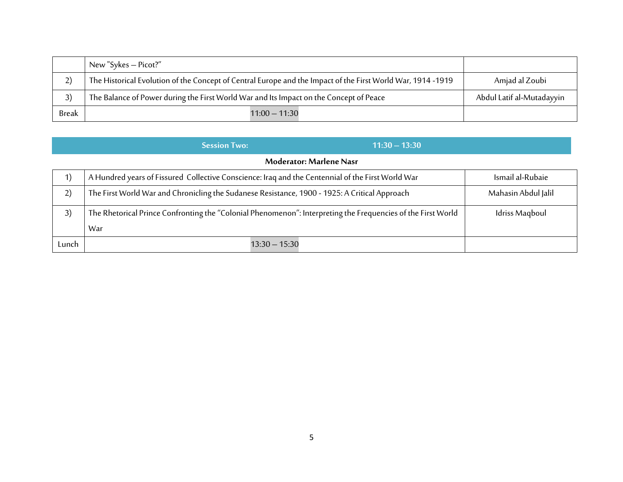|              | New "Sykes – Picot?"                                                                                       |                           |
|--------------|------------------------------------------------------------------------------------------------------------|---------------------------|
| رے           | The Historical Evolution of the Concept of Central Europe and the Impact of the First World War, 1914-1919 | Amjad al Zoubi            |
| 3)           | The Balance of Power during the First World War and Its Impact on the Concept of Peace                     | Abdul Latif al-Mutadayyin |
| <b>Break</b> | $11:00 - 11:30$                                                                                            |                           |

|                                                | $11:30 - 13:30$<br><b>Session Two:</b>                                                                              |                     |  |  |
|------------------------------------------------|---------------------------------------------------------------------------------------------------------------------|---------------------|--|--|
| <b>Moderator: Marlene Nasr</b>                 |                                                                                                                     |                     |  |  |
| $\left( \begin{matrix} 1 \end{matrix} \right)$ | A Hundred years of Fissured Collective Conscience: Iraq and the Centennial of the First World War                   | Ismail al-Rubaie    |  |  |
| 2)                                             | The First World War and Chronicling the Sudanese Resistance, 1900 - 1925: A Critical Approach                       | Mahasin Abdul Jalil |  |  |
| 3)                                             | The Rhetorical Prince Confronting the "Colonial Phenomenon": Interpreting the Frequencies of the First World<br>War | Idriss Magboul      |  |  |
| Lunch                                          | $13:30 - 15:30$                                                                                                     |                     |  |  |